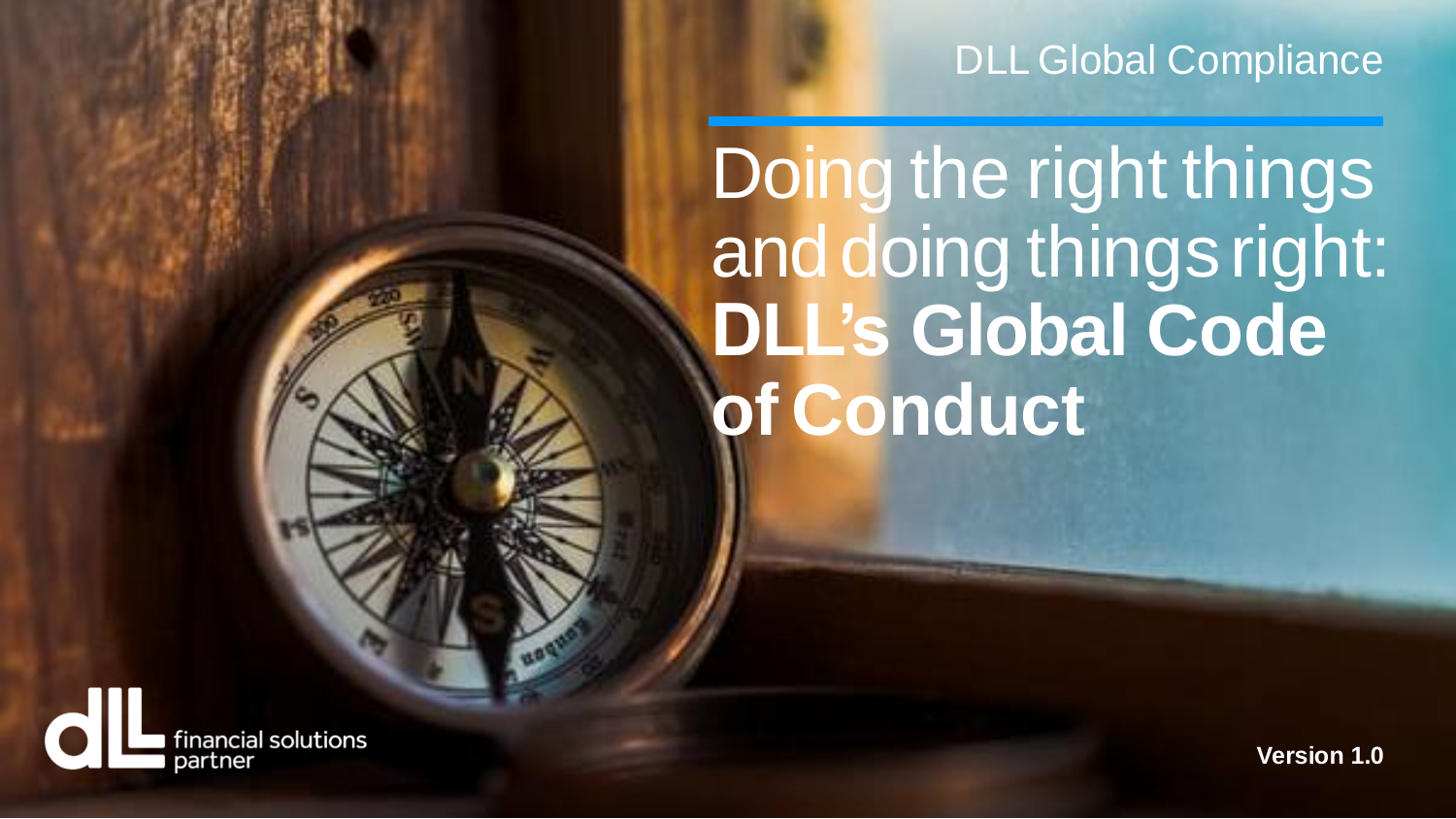## DLL Global Compliance

Doing the right things and doing things right: **DLL's Global Code of Conduct**



**Version 1.0**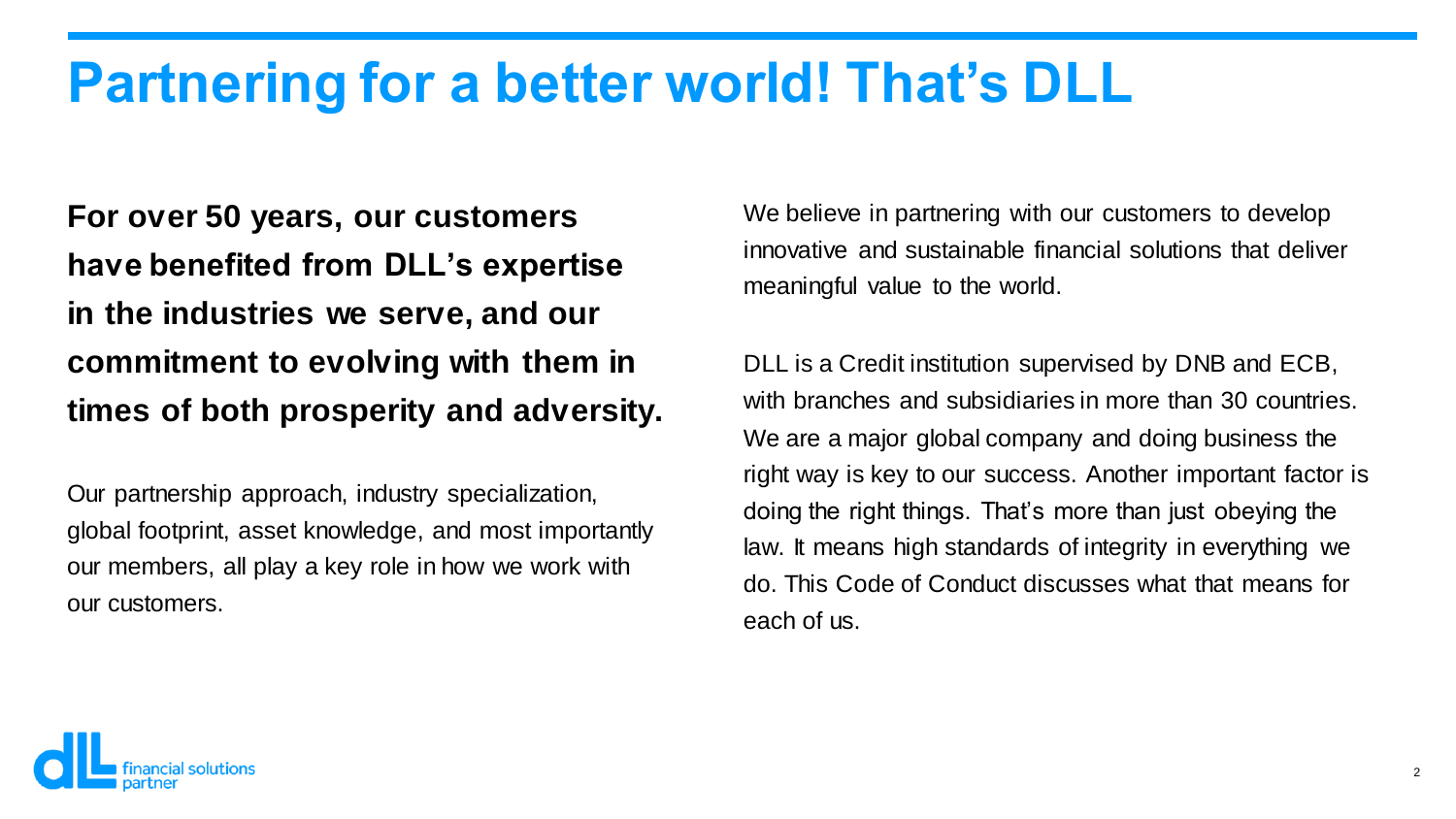## **Partnering for a better world! That's DLL**

**For over 50 years, our customers have benefited from DLL's expertise in the industries we serve, and our commitment to evolving with them in times of both prosperity and adversity.**

Our partnership approach, industry specialization, global footprint, asset knowledge, and most importantly our members, all play a key role in how we work with our customers.

We believe in partnering with our customers to develop innovative and sustainable financial solutions that deliver meaningful value to the world.

DLL is a Credit institution supervised by DNB and ECB, with branches and subsidiaries in more than 30 countries. We are a major global company and doing business the right way is key to our success. Another important factor is doing the right things. That's more than just obeying the law. It means high standards of integrity in everything we do. This Code of Conduct discusses what that means for each of us.

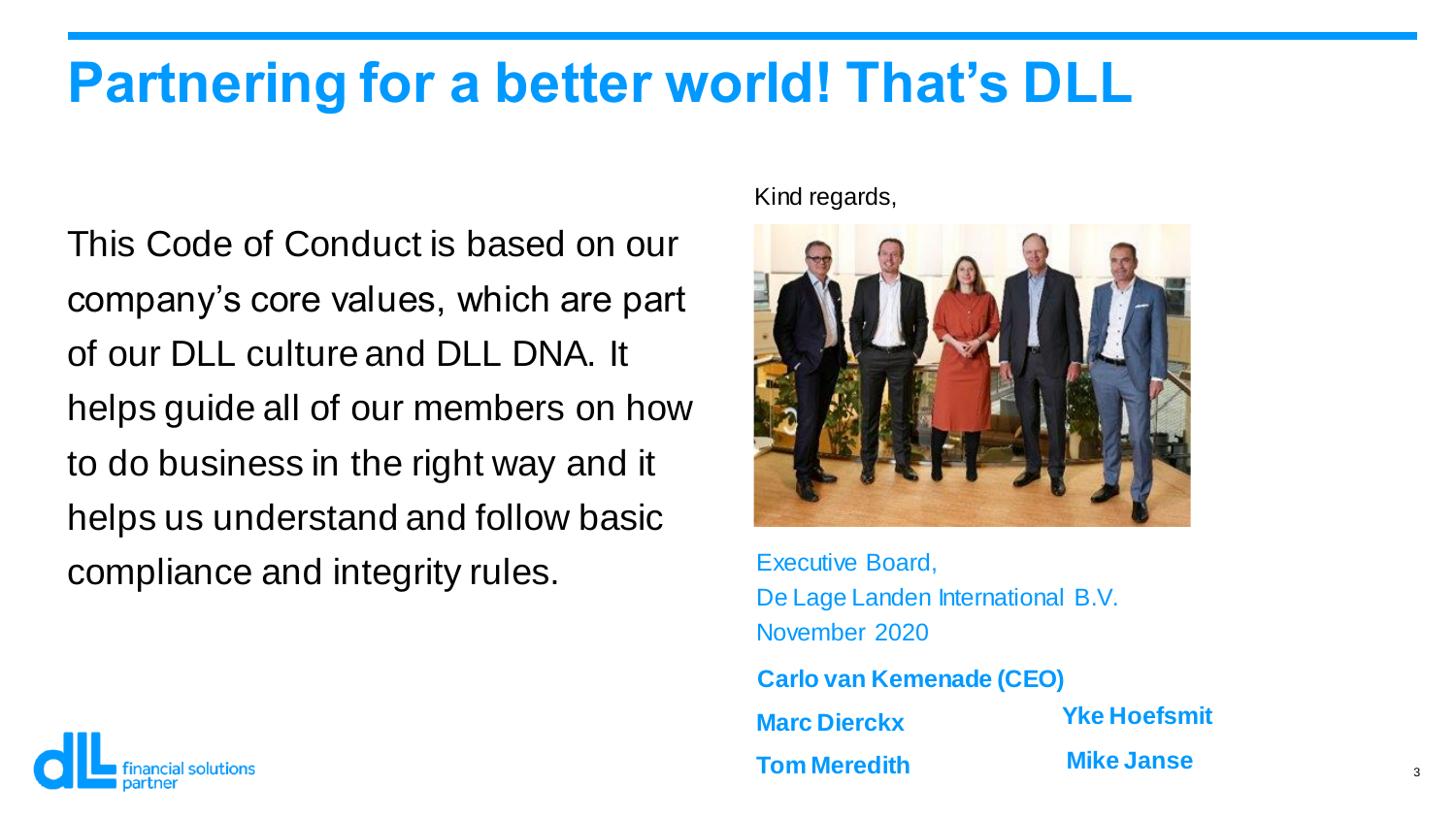## **Partnering for a better world! That's DLL**

This Code of Conduct is based on our company's core values, which are part of our DLL culture and DLL DNA. It helps guide all of our members on how to do business in the right way and it helps us understand and follow basic compliance and integrity rules.

Kind regards,



Executive Board, De Lage Landen International B.V. November 2020

**Carlo van Kemenade (CEO) Marc Dierckx Tom Meredith Mike Janse**

**Yke Hoefsmit**

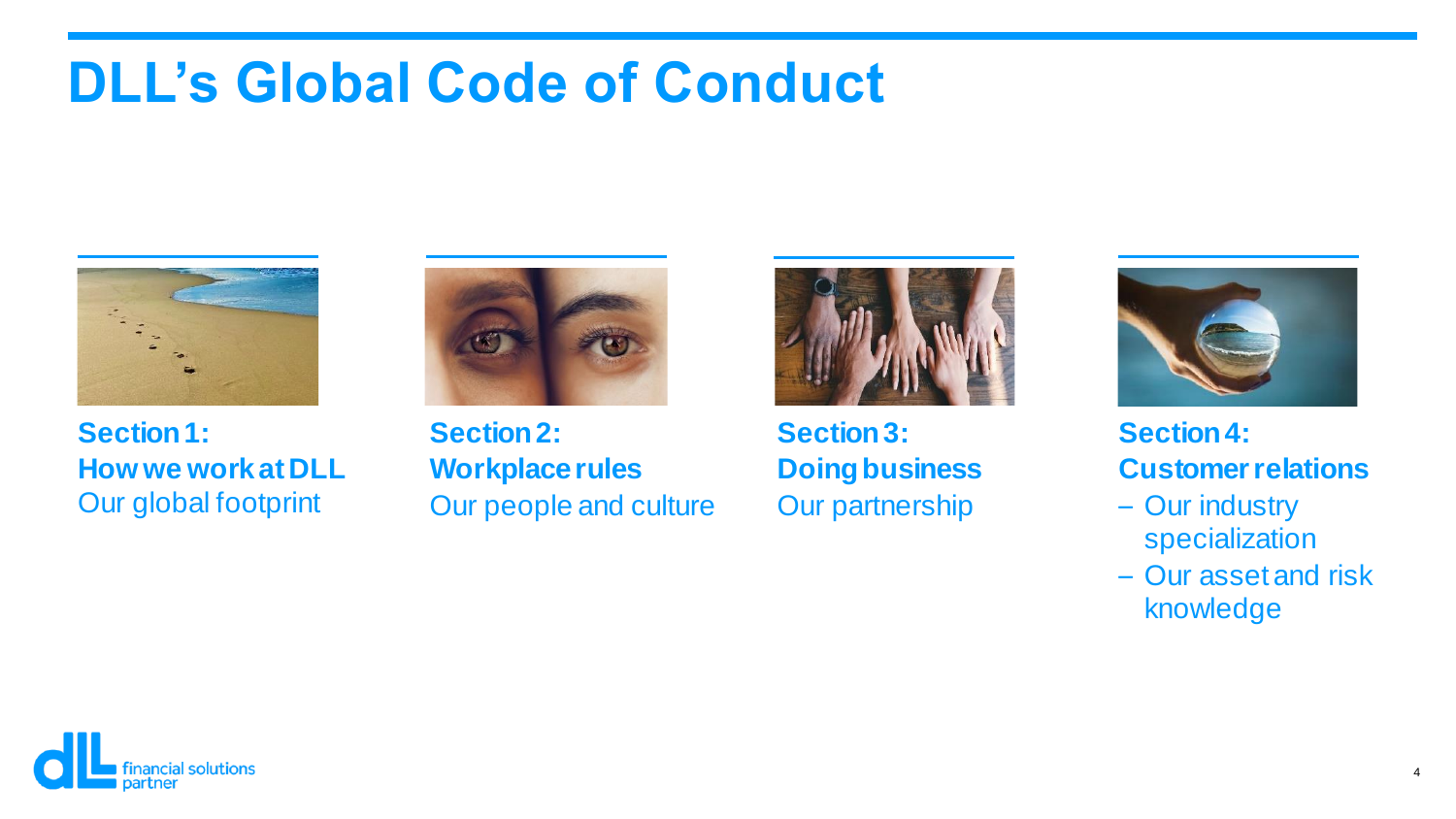## **DLL's Global Code of Conduct**



**Section 1: How we work at DLL** Our global footprint



How we Our people and culture **Section 2: Workplace rules**



**Section 3: Doing business** Our partnership



**Section 4: Customer relations**

- Our industry specialization
- Our asset and risk knowledge

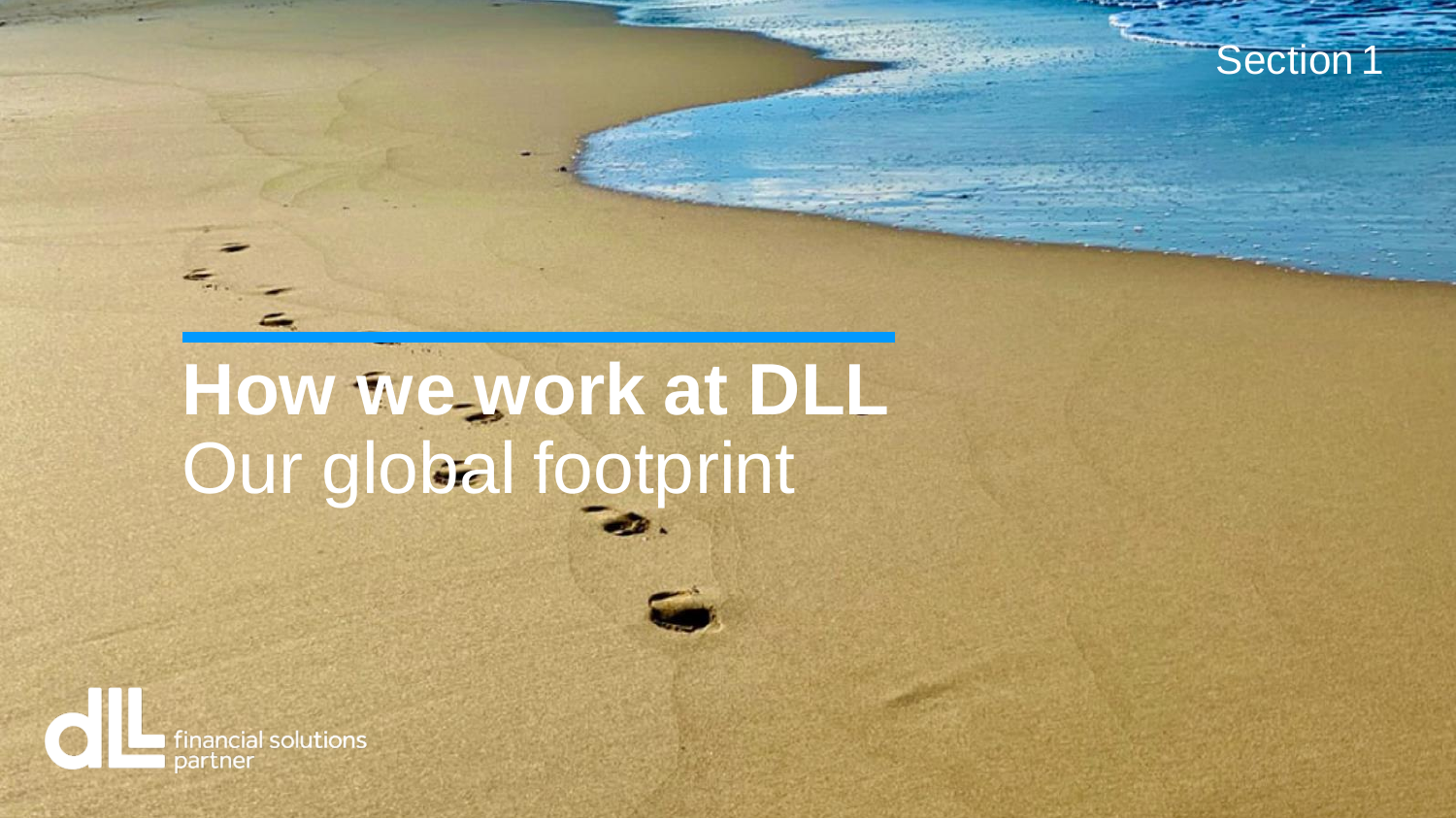

Section 1

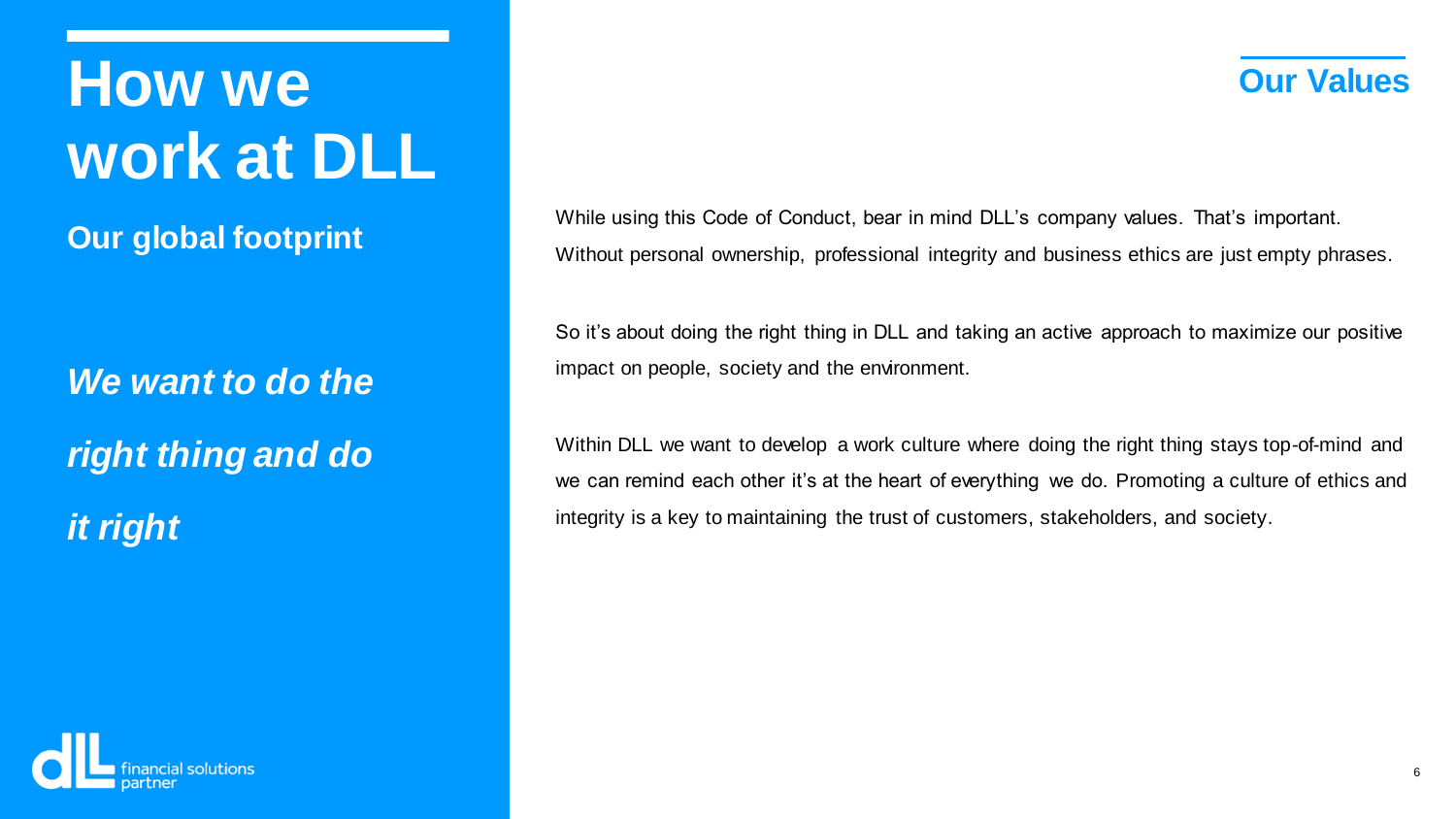**How we work at DLL**

**Our global footprint**

*We want to do the right thing and do it right*

While using this Code of Conduct, bear in mind DLL's company values. That's important. Without personal ownership, professional integrity and business ethics are just empty phrases.

So it's about doing the right thing in DLL and taking an active approach to maximize our positive impact on people, society and the environment.

Within DLL we want to develop a work culture where doing the right thing stays top-of-mind and we can remind each other it's at the heart of everything we do. Promoting a culture of ethics and integrity is a key to maintaining the trust of customers, stakeholders, and society.



**Our Values**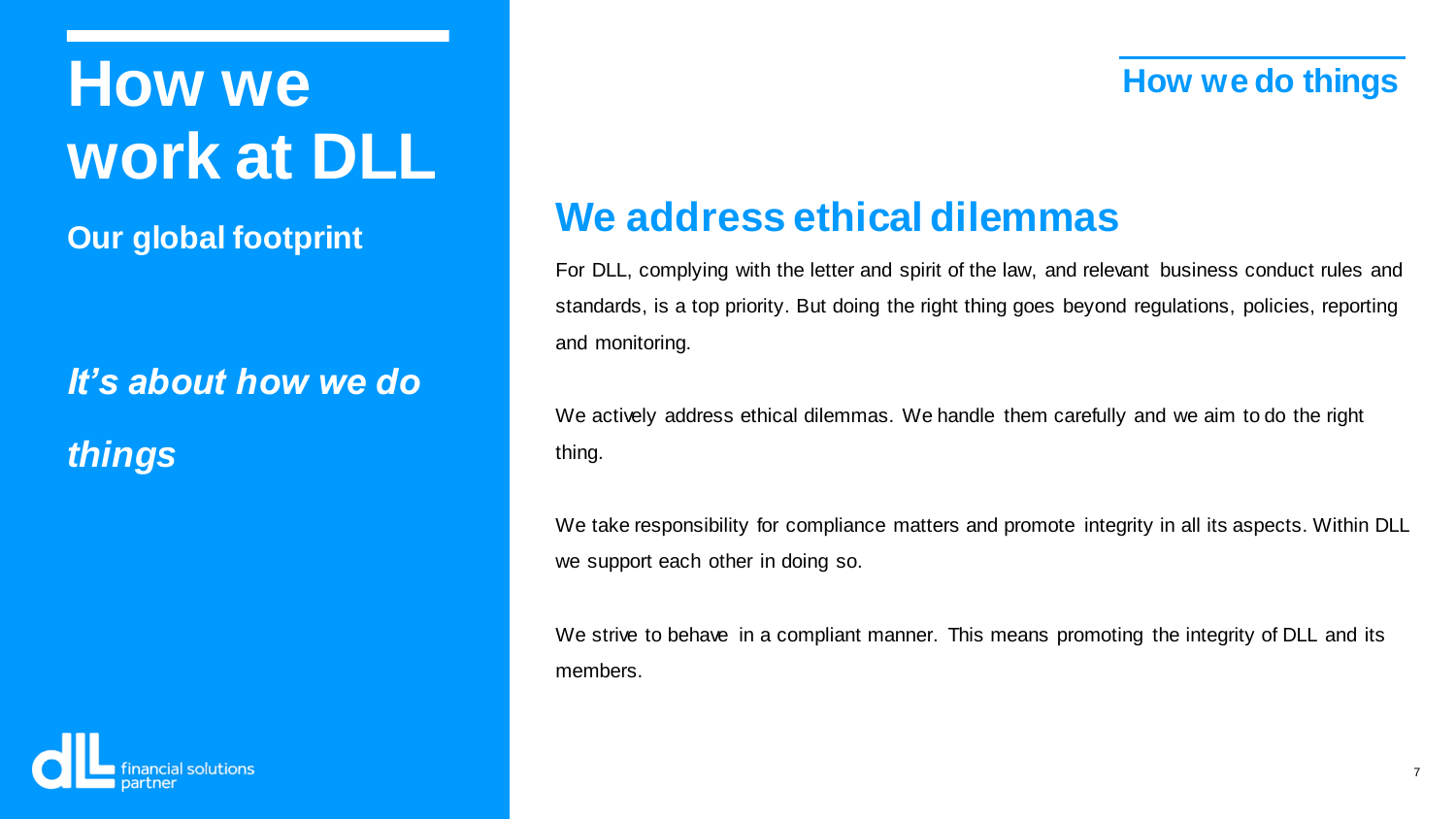## **How we How we How We work at DLL**

**Our global footprint**

*It's about how we do things*



### **We address ethical dilemmas**

For DLL, complying with the letter and spirit of the law, and relevant business conduct rules and standards, is a top priority. But doing the right thing goes beyond regulations, policies, reporting and monitoring.

We actively address ethical dilemmas. We handle them carefully and we aim to do the right thing.

We take responsibility for compliance matters and promote integrity in all its aspects. Within DLL we support each other in doing so.

We strive to behave in a compliant manner. This means promoting the integrity of DLL and its members.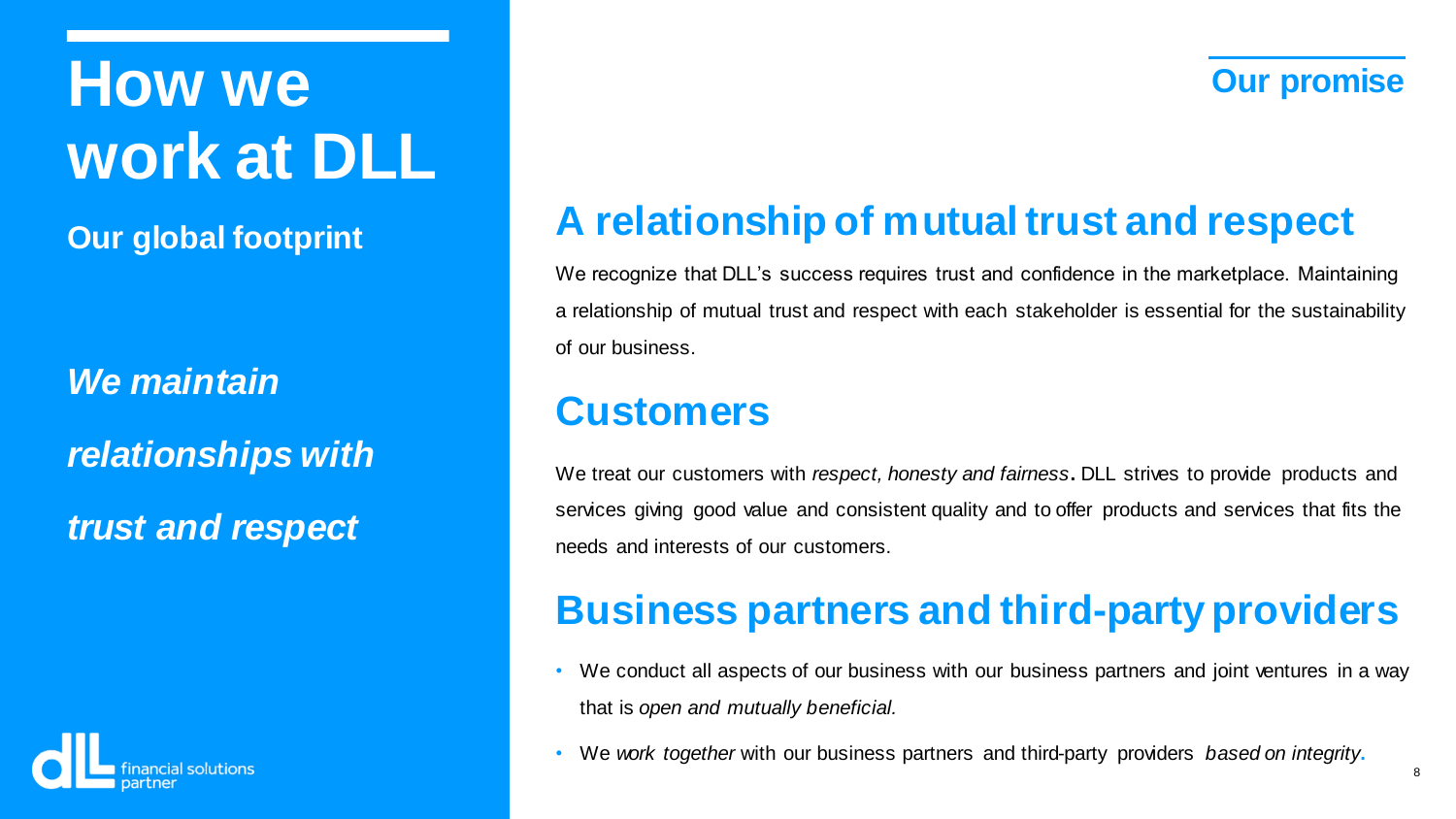**Our global footprint**

*We maintain relationships with trust and respect*



## **A relationship of mutual trust and respect**

We recognize that DLL's success requires trust and confidence in the marketplace. Maintaining a relationship of mutual trust and respect with each stakeholder is essential for the sustainability of our business.

### **Customers**

We treat our customers with *respect, honesty and fairness***.** DLL strives to provide products and services giving good value and consistent quality and to offer products and services that fits the needs and interests of our customers.

## **Business partners and third-party providers**

- We conduct all aspects of our business with our business partners and joint ventures in a way that is *open and mutually beneficial.*
- We *work together* with our business partners and third-party providers *based on integrity***.**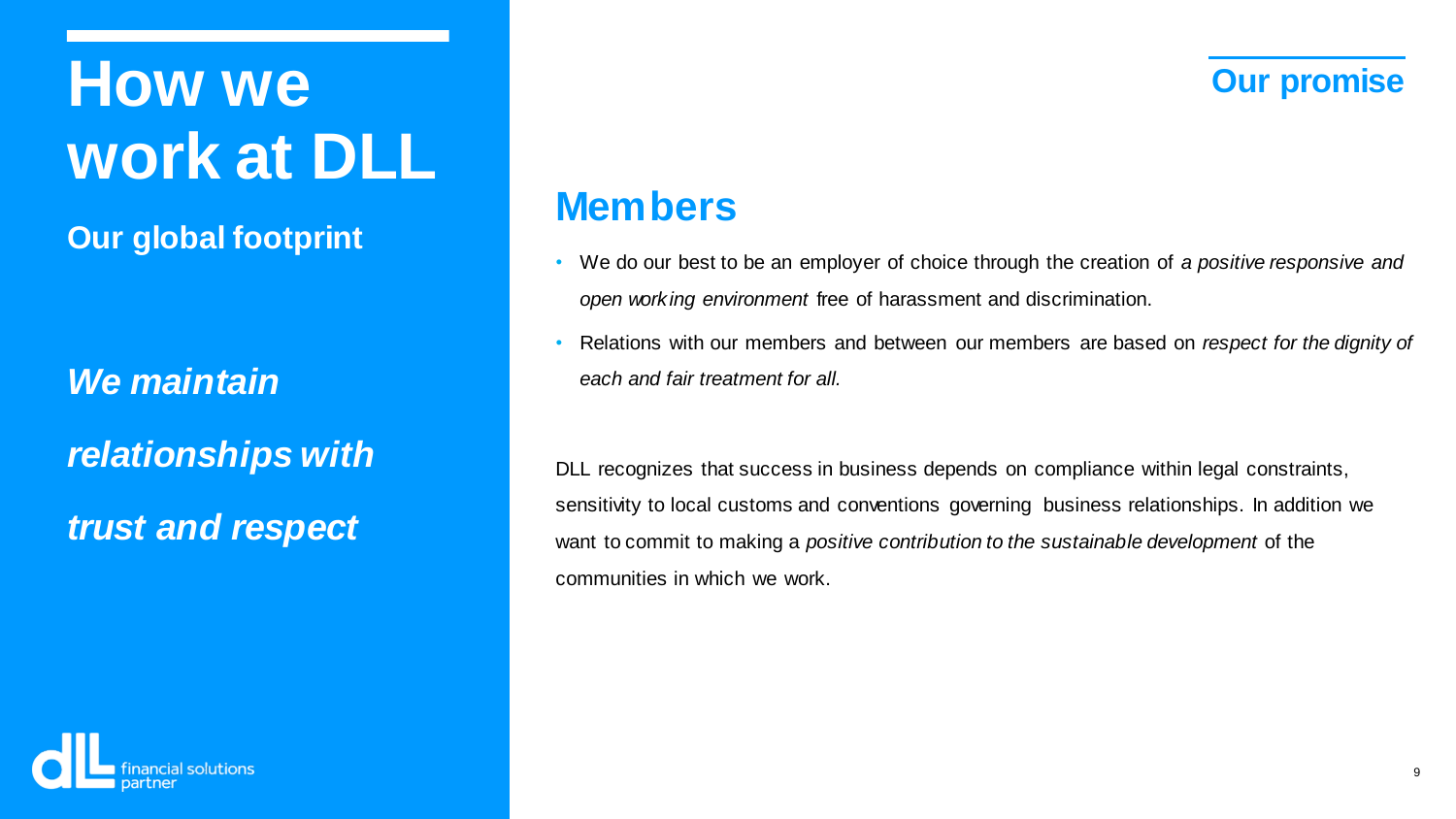**Our global footprint**

*We maintain relationships with trust and respect*

### **Members**

- We do our best to be an employer of choice through the creation of *a positive responsive and open working environment* free of harassment and discrimination.
- Relations with our members and between our members are based on *respect for the dignity of each and fair treatment for all.*

DLL recognizes that success in business depends on compliance within legal constraints, sensitivity to local customs and conventions governing business relationships. In addition we want to commit to making a *positive contribution to the sustainable development* of the communities in which we work.

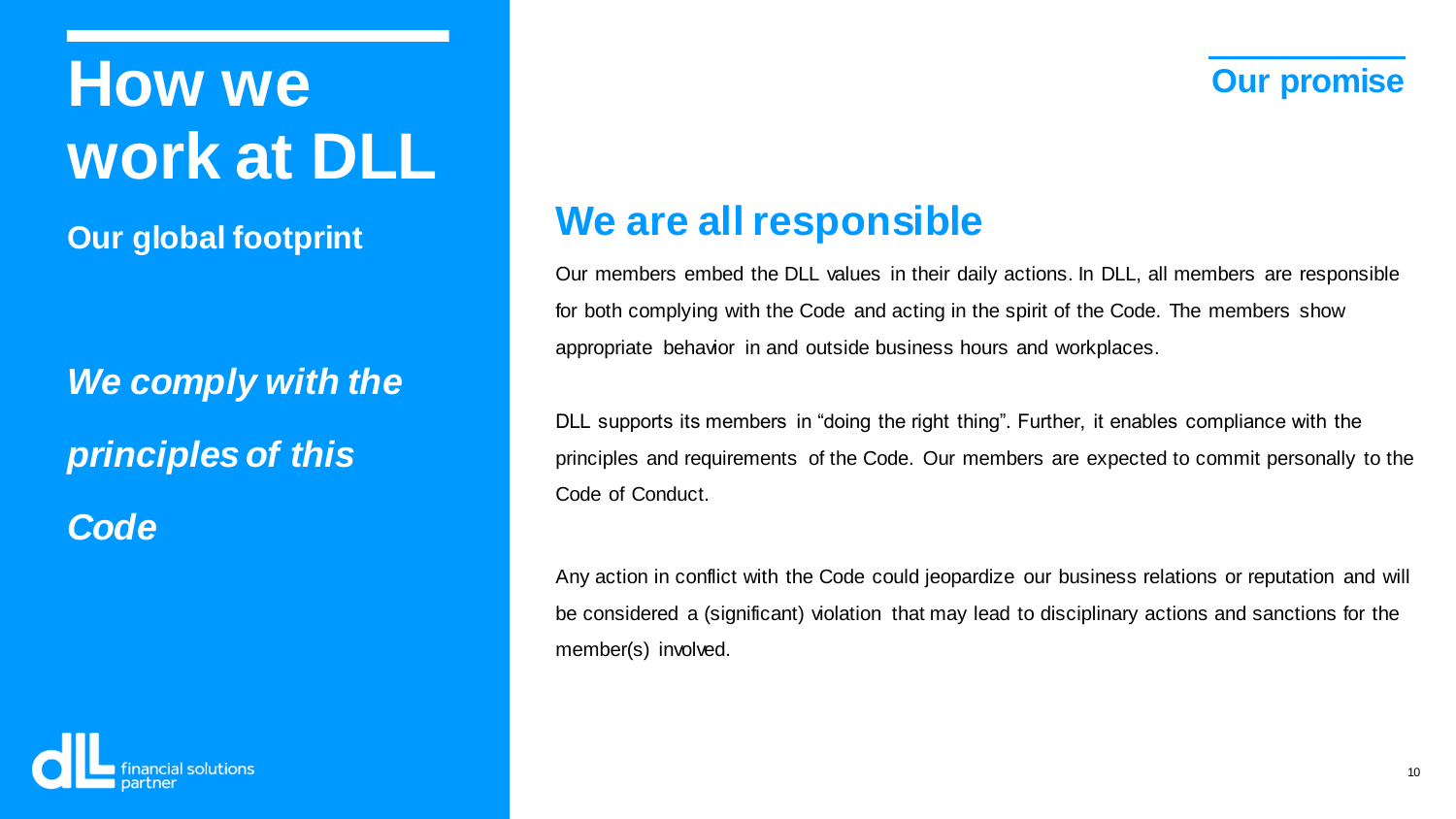**Our global footprint**

*We comply with the principles of this*

*Code*

### **We are all responsible**

Our members embed the DLL values in their daily actions. In DLL, all members are responsible for both complying with the Code and acting in the spirit of the Code. The members show appropriate behavior in and outside business hours and workplaces.

DLL supports its members in "doing the right thing". Further, it enables compliance with the principles and requirements of the Code. Our members are expected to commit personally to the Code of Conduct.

Any action in conflict with the Code could jeopardize our business relations or reputation and will be considered a (significant) violation that may lead to disciplinary actions and sanctions for the member(s) involved.

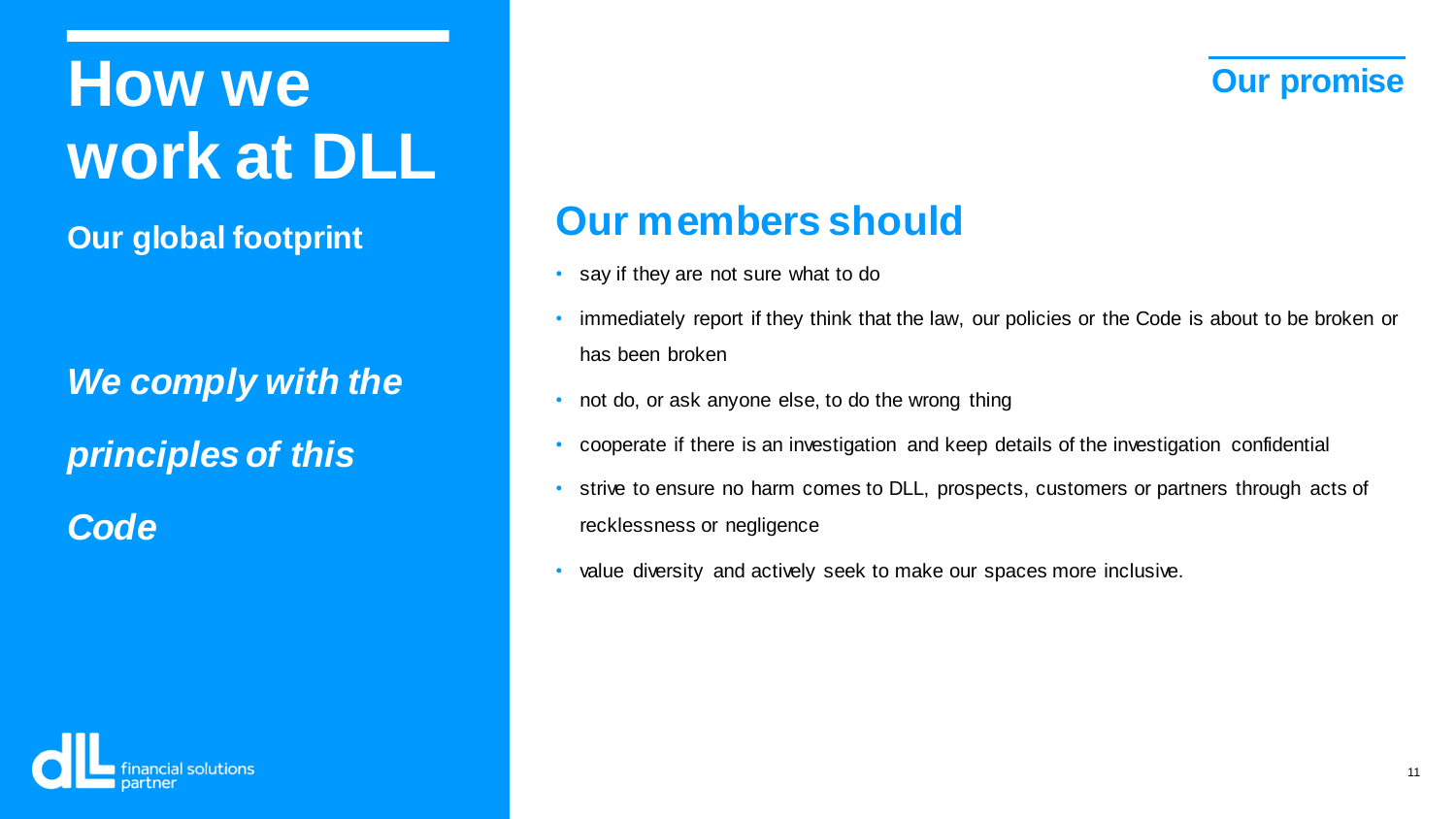**Our global footprint**

*We comply with the principles of this*

*Code*

### **Our members should**

- say if they are not sure what to do
- immediately report if they think that the law, our policies or the Code is about to be broken or has been broken
- not do, or ask anyone else, to do the wrong thing
- cooperate if there is an investigation and keep details of the investigation confidential
- strive to ensure no harm comes to DLL, prospects, customers or partners through acts of recklessness or negligence
- value diversity and actively seek to make our spaces more inclusive.

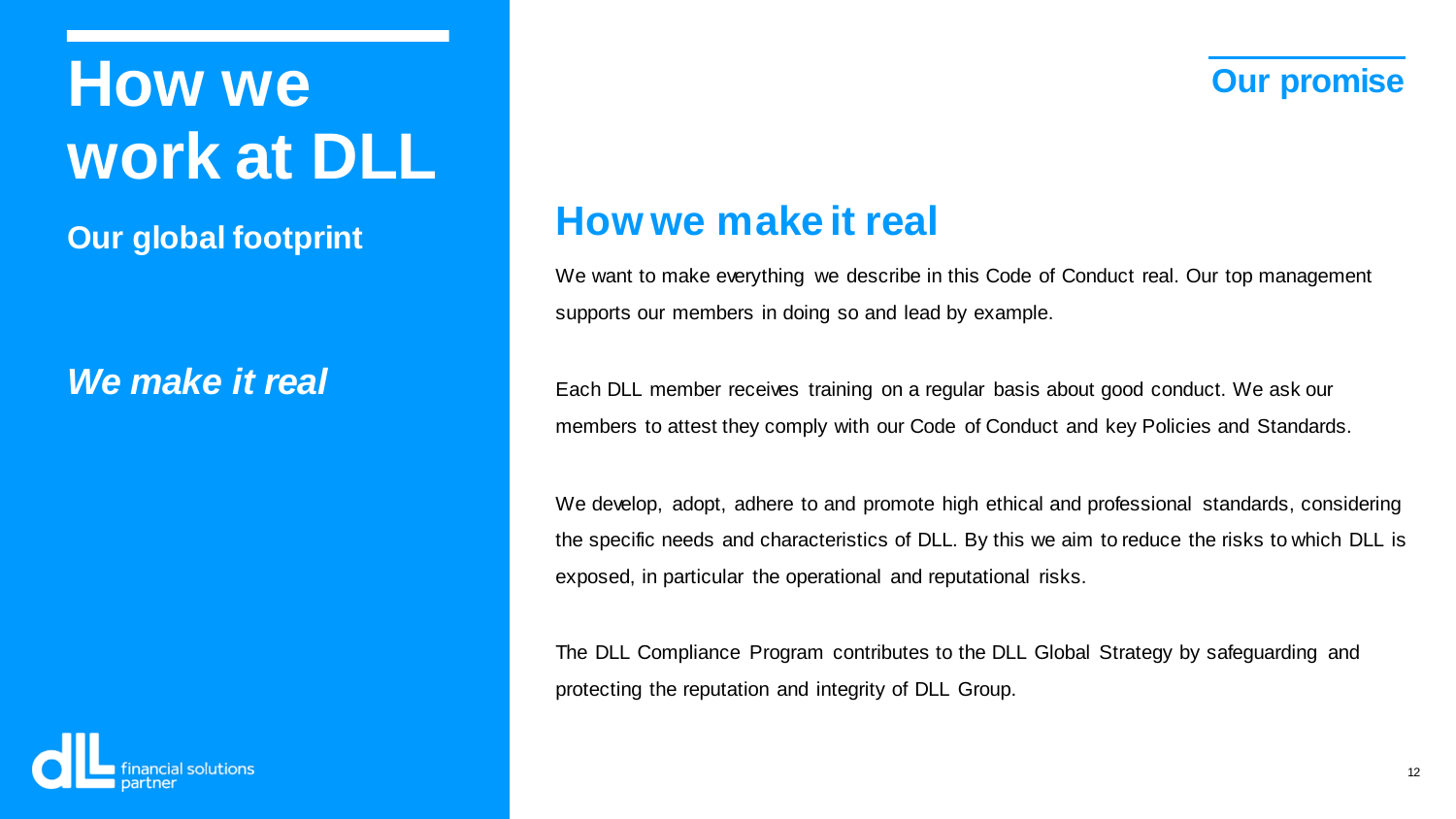**Our global footprint**

### *We make it real*

### **How we make it real**

We want to make everything we describe in this Code of Conduct real. Our top management supports our members in doing so and lead by example.

Each DLL member receives training on a regular basis about good conduct. We ask our members to attest they comply with our Code of Conduct and key Policies and Standards.

We develop, adopt, adhere to and promote high ethical and professional standards, considering the specific needs and characteristics of DLL. By this we aim to reduce the risks to which DLL is exposed, in particular the operational and reputational risks.

The DLL Compliance Program contributes to the DLL Global Strategy by safeguarding and protecting the reputation and integrity of DLL Group.

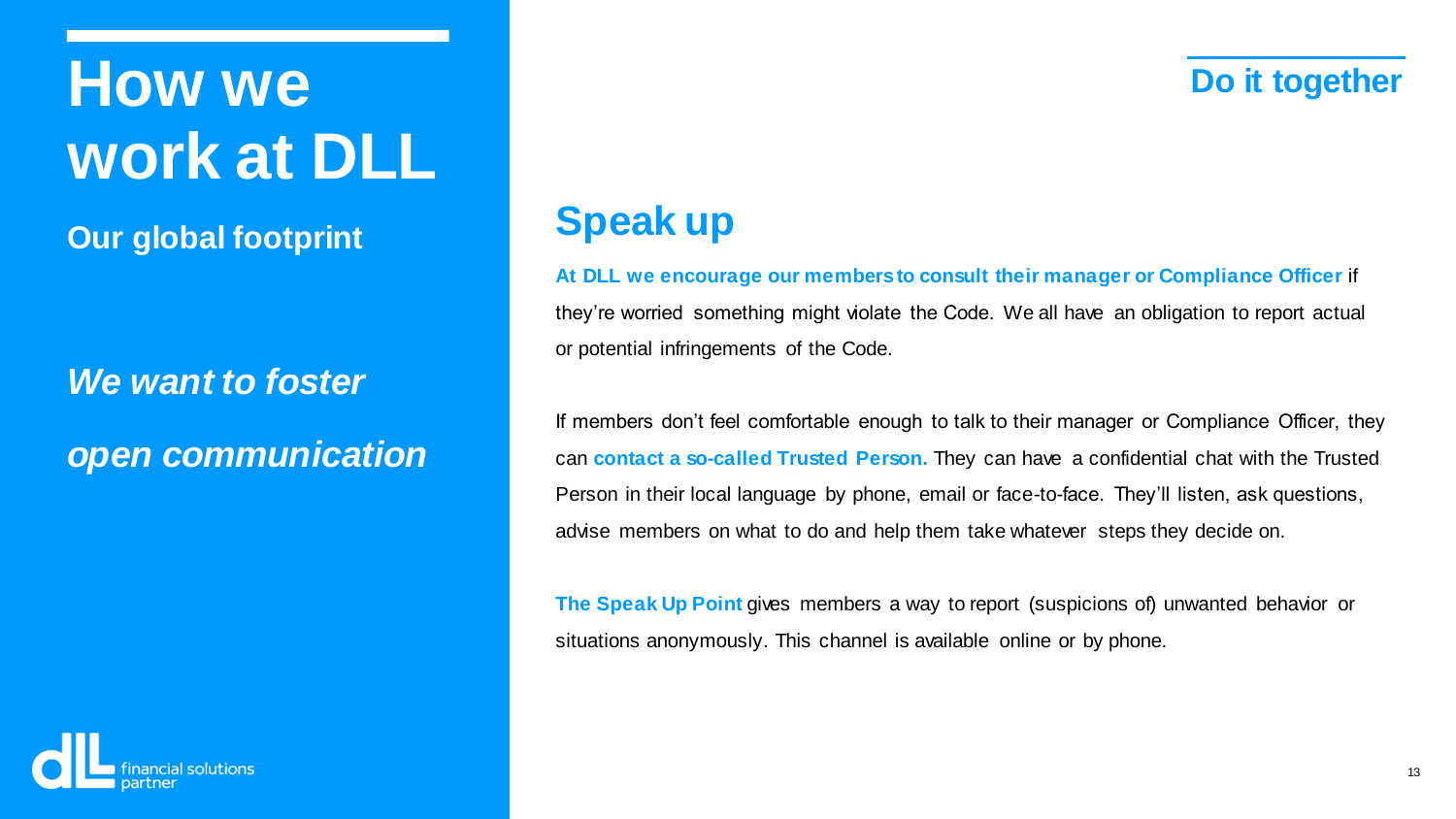## **How we Do it together work at DLL**

**Our global footprint**

*We want to foster open communication*

### **Speak up**

### **At DLL we encourage our members to consult their manager or Compliance Officer** if

they're worried something might violate the Code. We all have an obligation to report actual or potential infringements of the Code.

If members don't feel comfortable enough to talk to their manager or Compliance Officer, they can **contact a so-called Trusted Person.** They can have a confidential chat with the Trusted Person in their local language by phone, email or face-to-face. They'll listen, ask questions, advise members on what to do and help them take whatever steps they decide on.

**The Speak Up Point** gives members a way to report (suspicions of) unwanted behavior or situations anonymously. This channel is available online or by phone.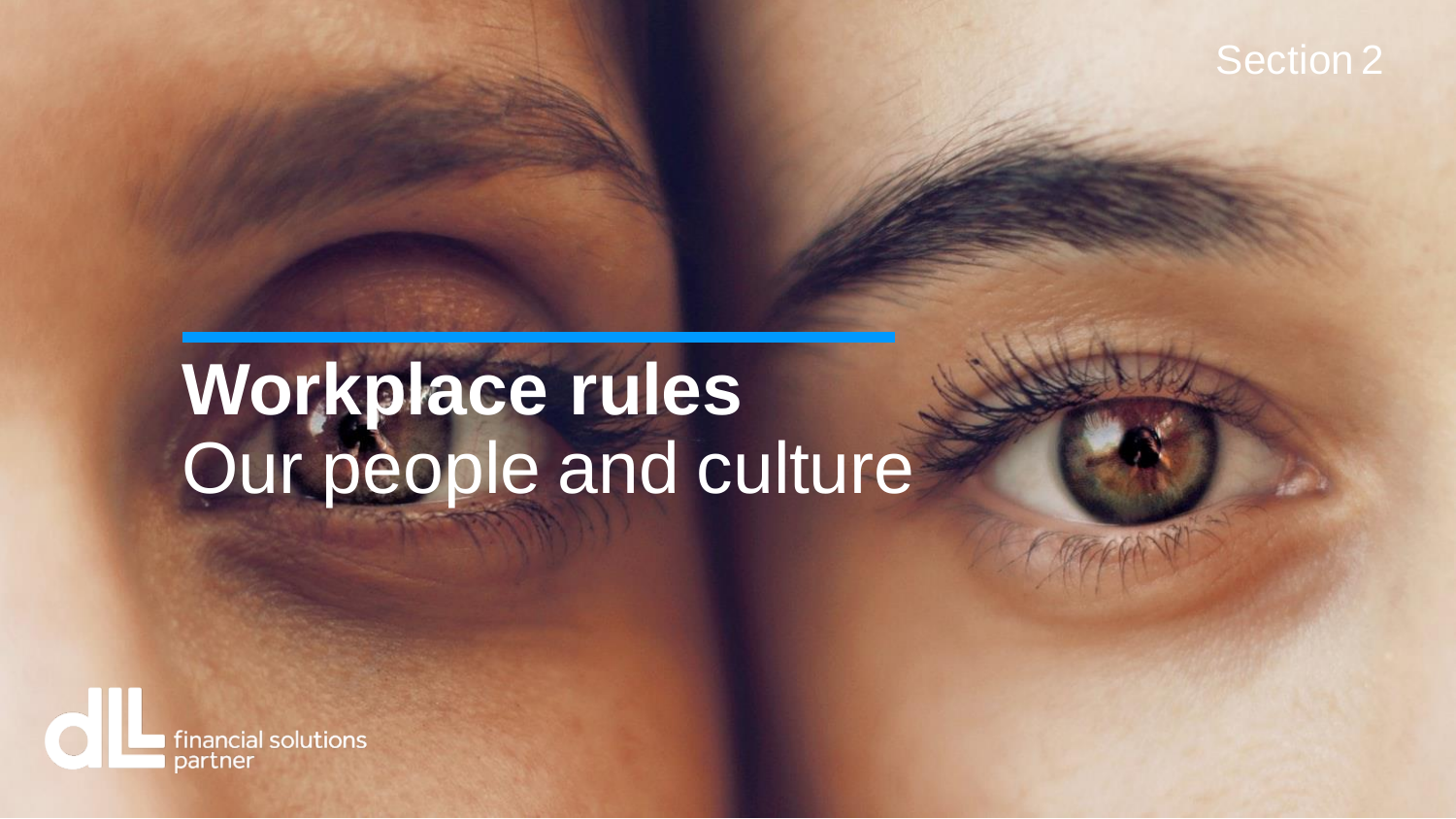

## **Workplace rules** Our people and culture

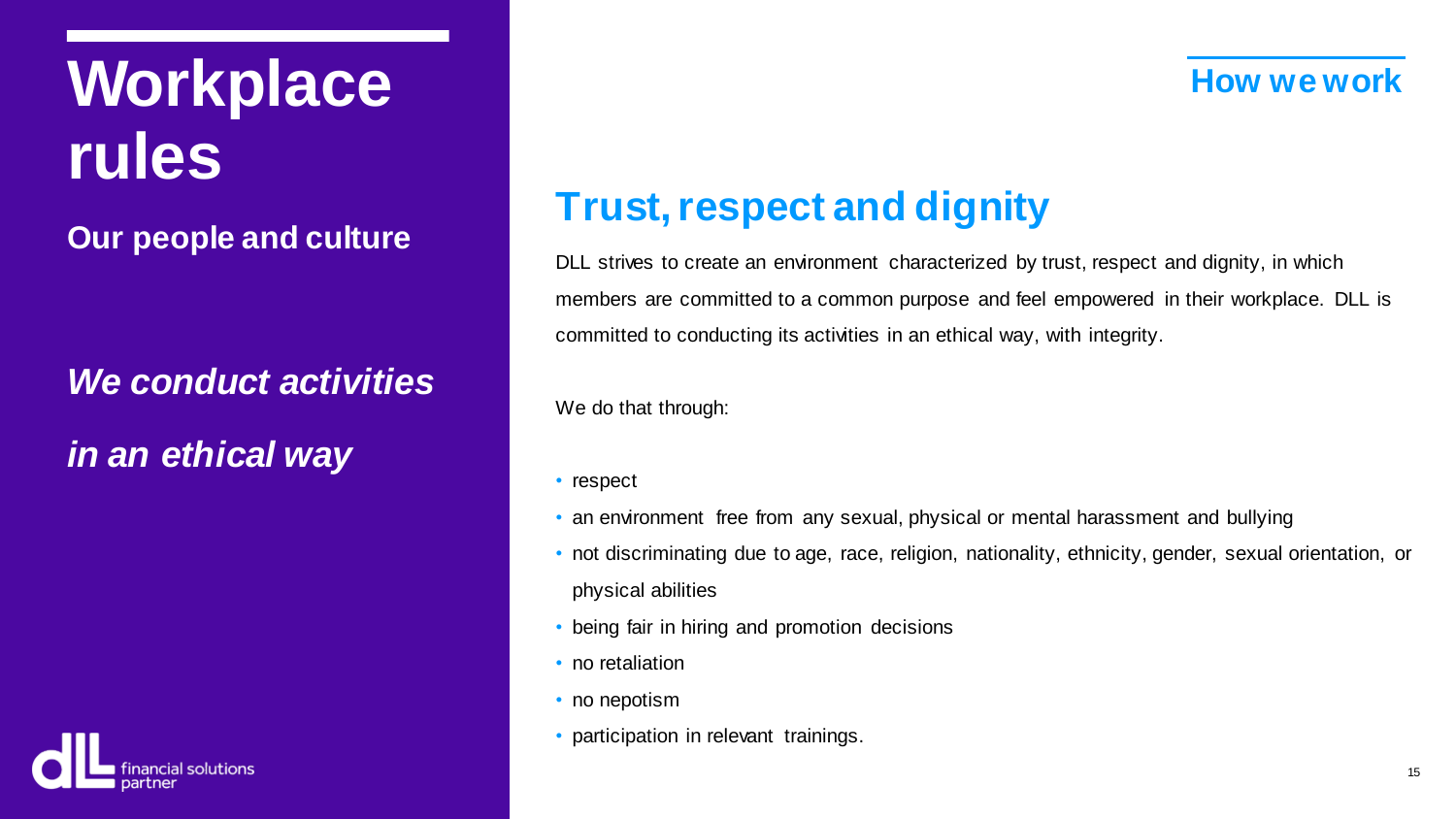## **Workplace How we work rules**

**Our people and culture**

*We conduct activities in an ethical way*



## **Trust, respect and dignity**

DLL strives to create an environment characterized by trust, respect and dignity, in which members are committed to a common purpose and feel empowered in their workplace. DLL is committed to conducting its activities in an ethical way, with integrity.

We do that through:

- respect
- an environment free from any sexual, physical or mental harassment and bullying
- not discriminating due to age, race, religion, nationality, ethnicity, gender, sexual orientation, or physical abilities
- being fair in hiring and promotion decisions
- no retaliation
- no nepotism
- participation in relevant trainings.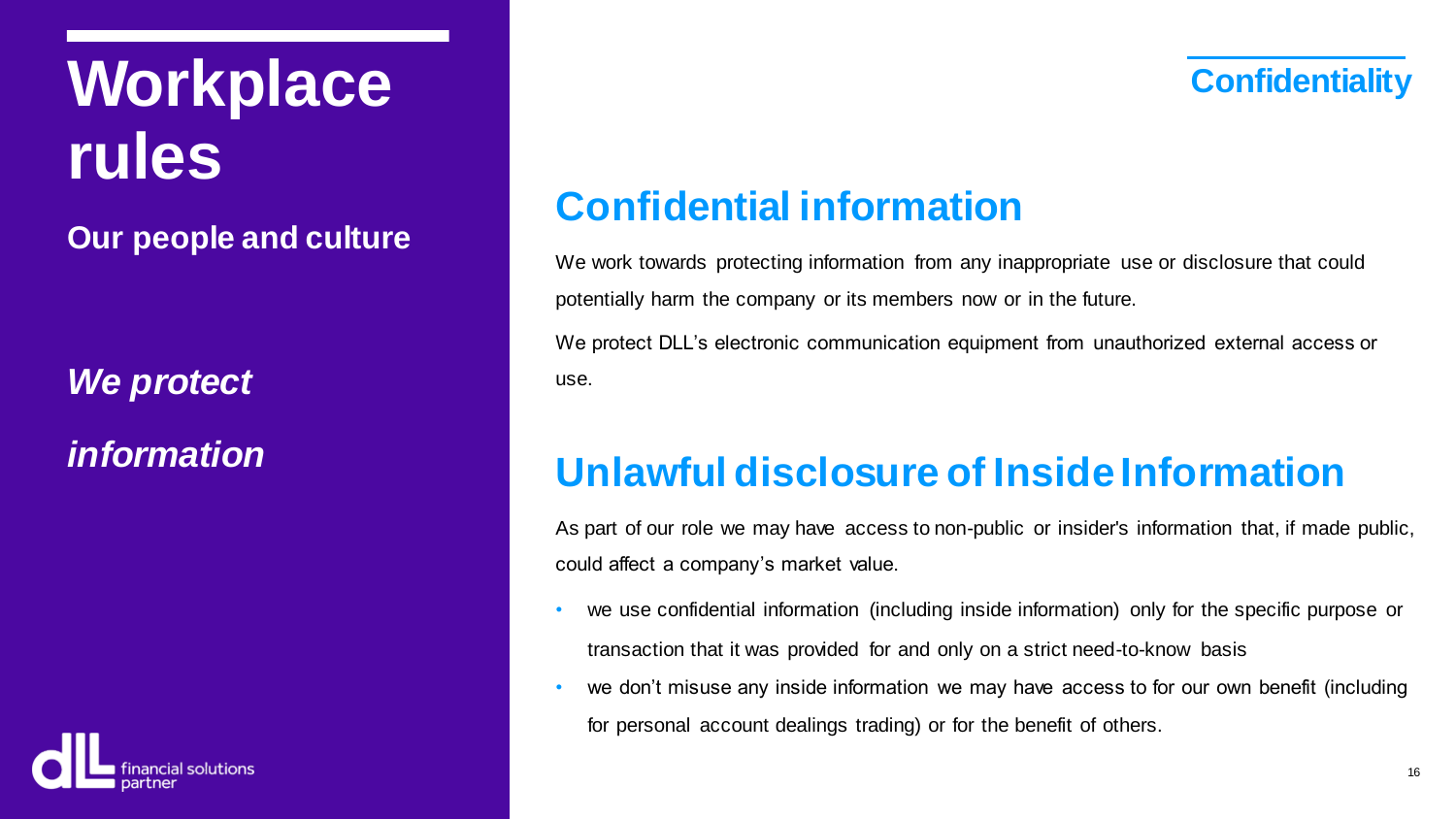**Workplace** *Confidentiality* **rules**

**Our people and culture**

*We protect*

*information*



## **Confidential information**

We work towards protecting information from any inappropriate use or disclosure that could potentially harm the company or its members now or in the future.

We protect DLL's electronic communication equipment from unauthorized external access or use.

## **Unlawful disclosure of Inside Information**

As part of our role we may have access to non-public or insider's information that, if made public, could affect a company's market value.

- we use confidential information (including inside information) only for the specific purpose or transaction that it was provided for and only on a strict need-to-know basis
- we don't misuse any inside information we may have access to for our own benefit (including for personal account dealings trading) or for the benefit of others.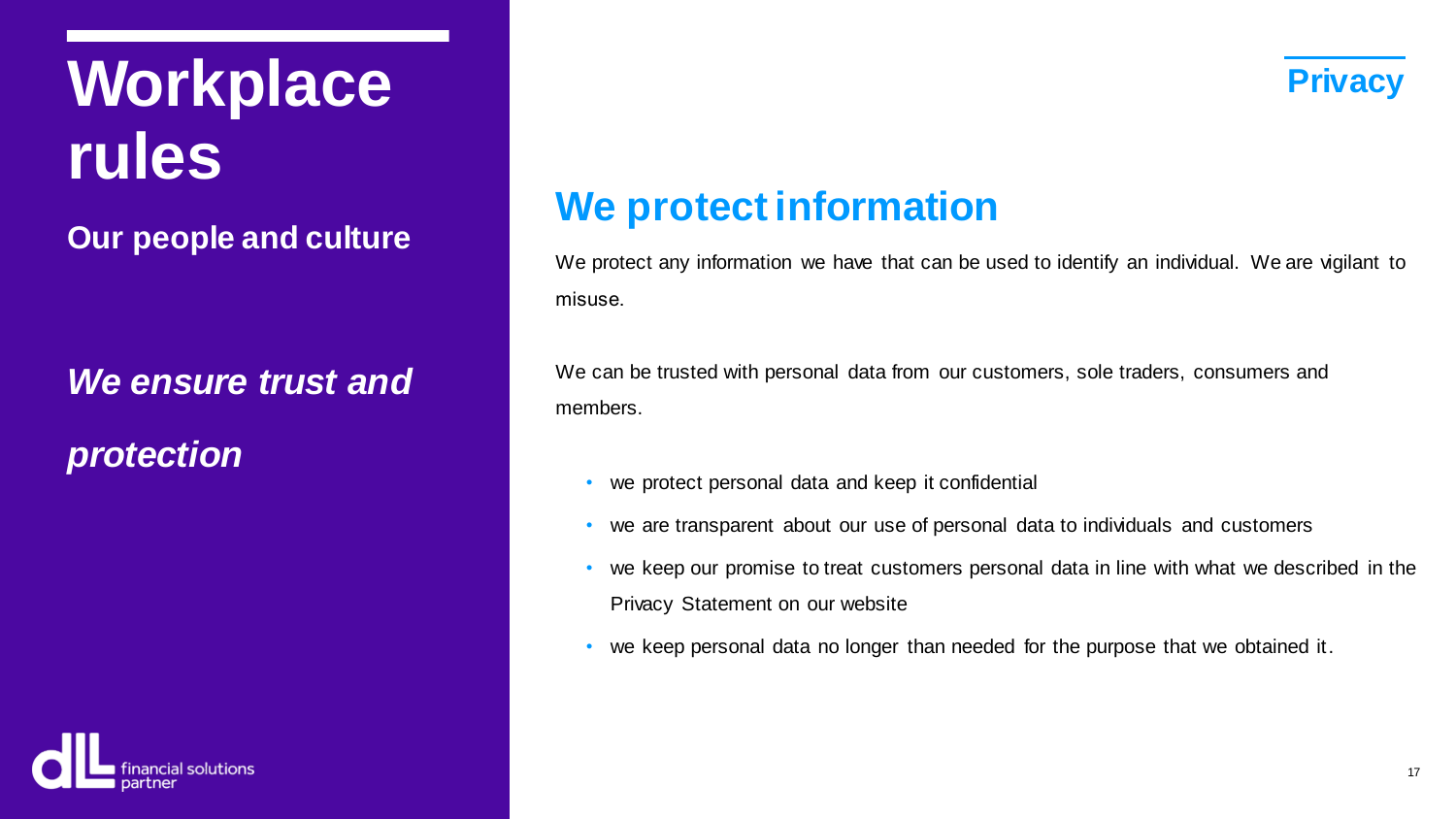## **Workplace Privacy rules**

**Our people and culture**

*We ensure trust and protection*



## **We protect information**

We protect any information we have that can be used to identify an individual. We are vigilant to misuse.

We can be trusted with personal data from our customers, sole traders, consumers and members.

- we protect personal data and keep it confidential
- we are transparent about our use of personal data to individuals and customers
- we keep our promise to treat customers personal data in line with what we described in the Privacy Statement on our website
- we keep personal data no longer than needed for the purpose that we obtained it.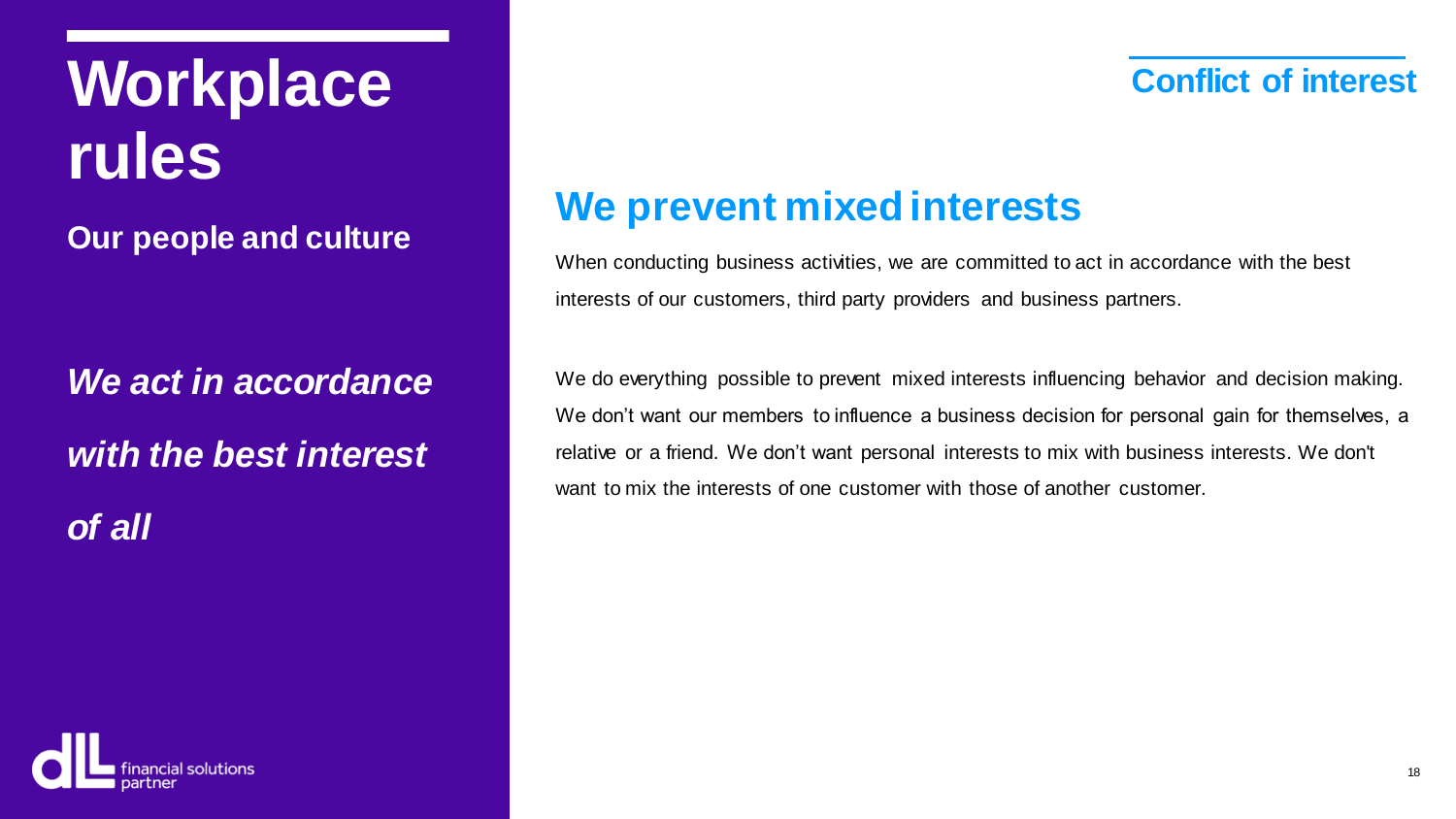## **Workplace** *Conflict of interest* **rules**

**Our people and culture**

*We act in accordance with the best interest of all*

### **We prevent mixed interests**

When conducting business activities, we are committed to act in accordance with the best interests of our customers, third party providers and business partners.

We do everything possible to prevent mixed interests influencing behavior and decision making. We don't want our members to influence a business decision for personal gain for themselves, a relative or a friend. We don't want personal interests to mix with business interests. We don't want to mix the interests of one customer with those of another customer.

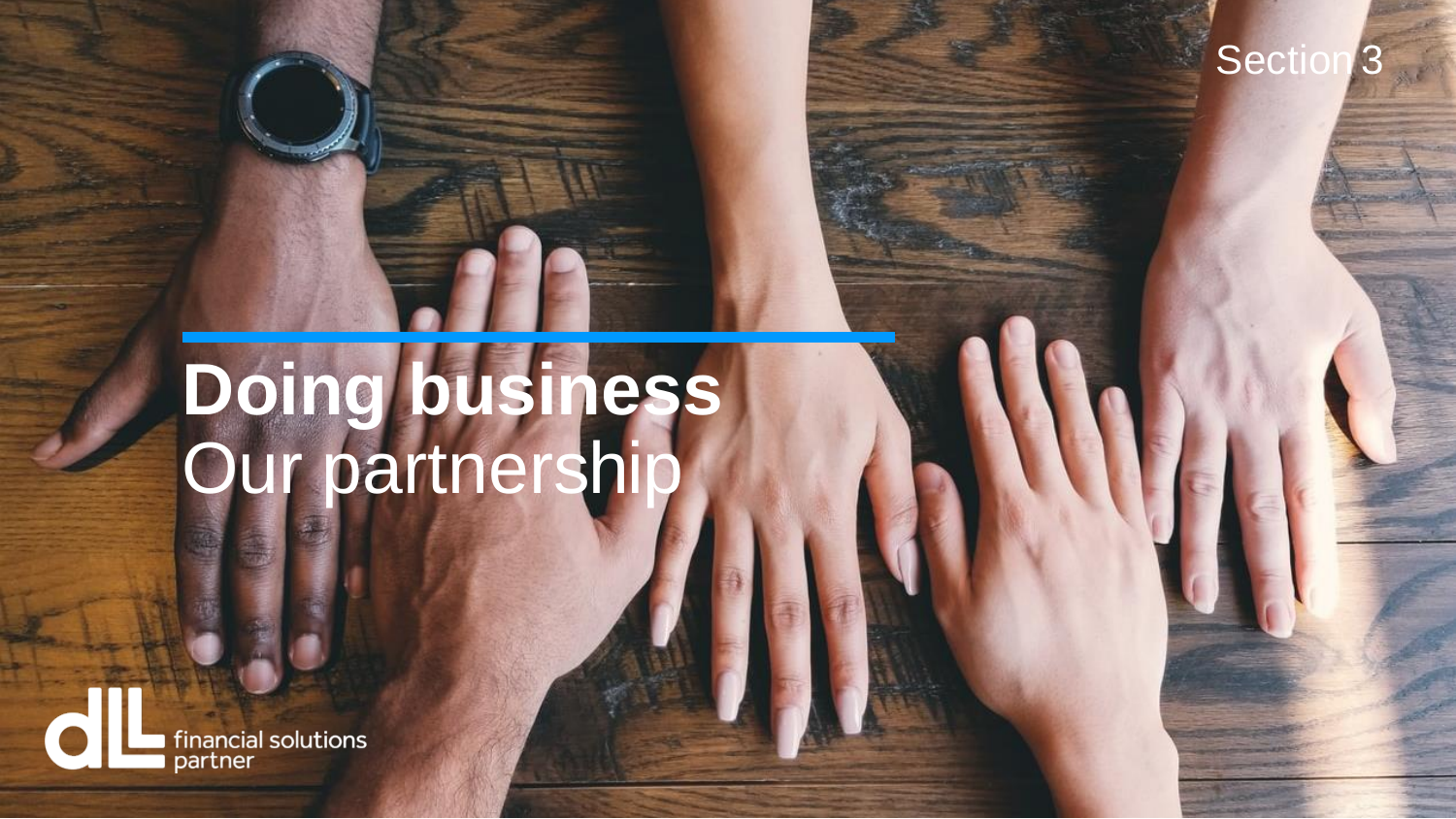### Section

## **Doing business** Our partnership

financial solutions<br>partner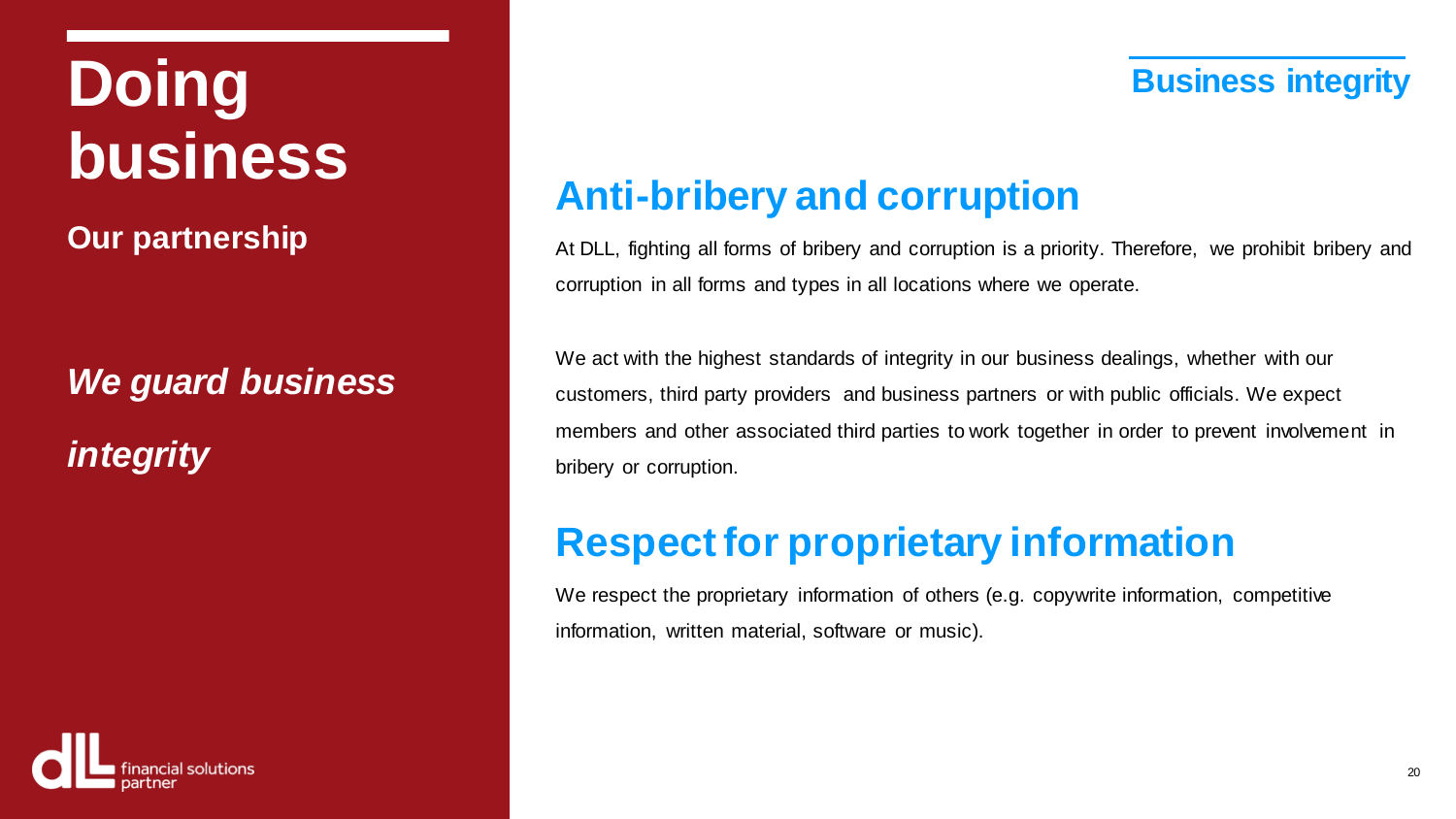## **Doing Business integrity business**

**Our partnership**

## *We guard business integrity*



## **Anti-bribery and corruption**

At DLL, fighting all forms of bribery and corruption is a priority. Therefore, we prohibit bribery and corruption in all forms and types in all locations where we operate.

We act with the highest standards of integrity in our business dealings, whether with our customers, third party providers and business partners or with public officials. We expect members and other associated third parties to work together in order to prevent involvement in bribery or corruption.

## **Respect for proprietary information**

We respect the proprietary information of others (e.g. copywrite information, competitive information, written material, software or music).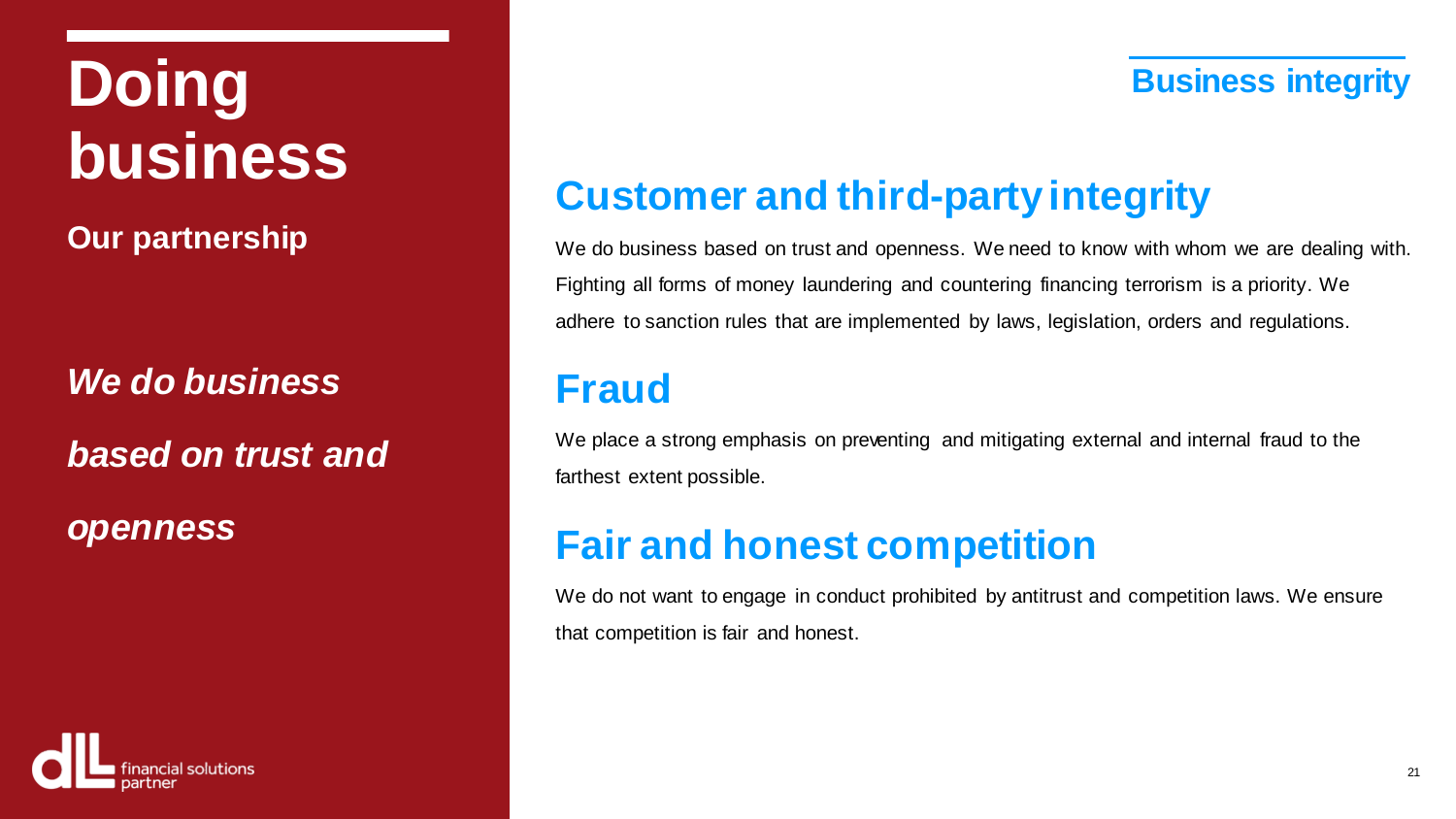## **Doing Business integrity business**

**Our partnership**

*We do business based on trust and*

*openness*

## **Customer and third-party integrity**

We do business based on trust and openness. We need to know with whom we are dealing with. Fighting all forms of money laundering and countering financing terrorism is a priority. We adhere to sanction rules that are implemented by laws, legislation, orders and regulations.

## **Fraud**

We place a strong emphasis on preventing and mitigating external and internal fraud to the farthest extent possible.

### **Fair and honest competition**

We do not want to engage in conduct prohibited by antitrust and competition laws. We ensure that competition is fair and honest.

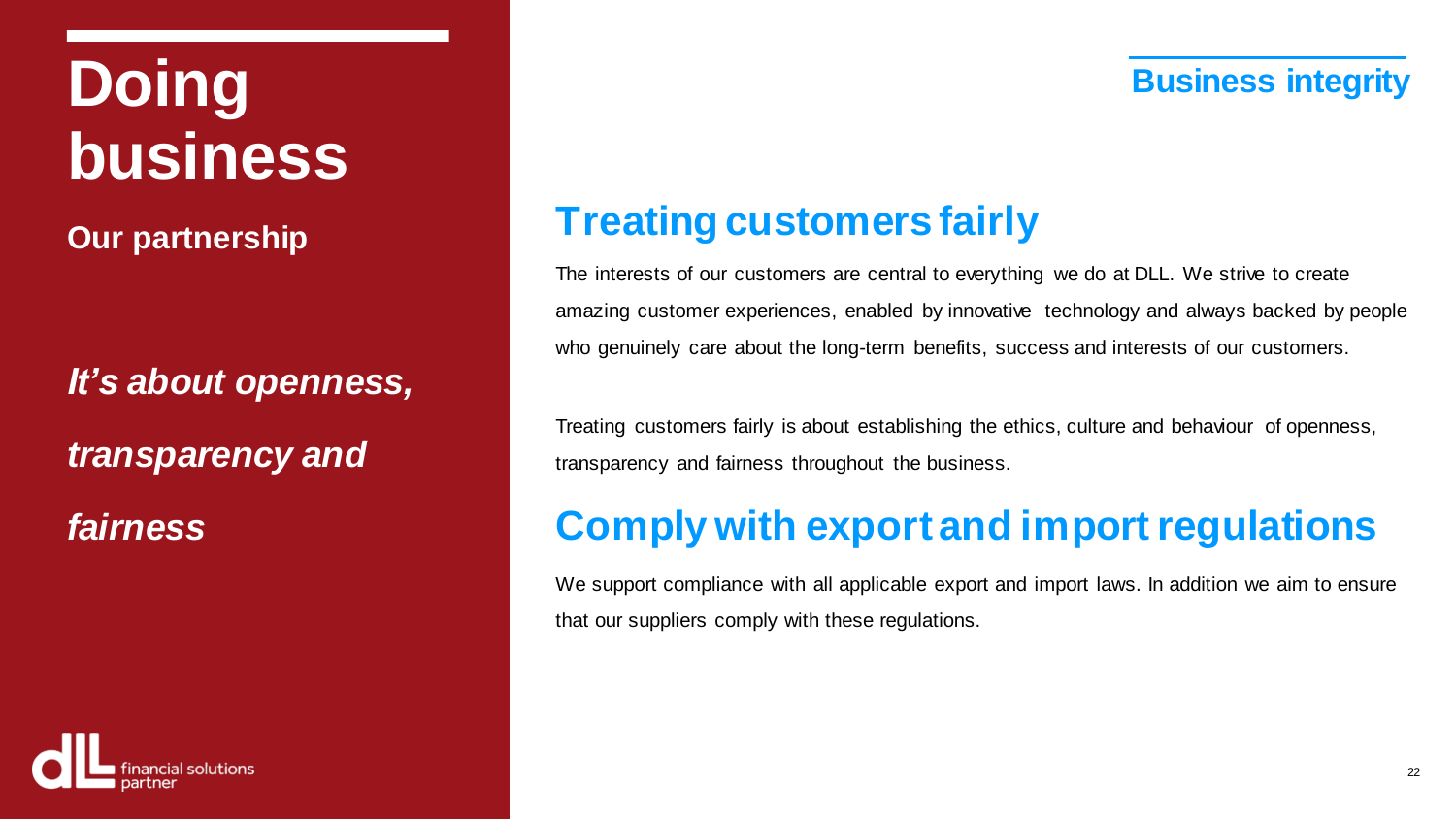## **Doing Business integrity business**

**Our partnership**

*It's about openness, transparency and fairness*

## **Treating customers fairly**

The interests of our customers are central to everything we do at DLL. We strive to create amazing customer experiences, enabled by innovative technology and always backed by people who genuinely care about the long-term benefits, success and interests of our customers.

Treating customers fairly is about establishing the ethics, culture and behaviour of openness, transparency and fairness throughout the business.

## **Comply with export and import regulations**

We support compliance with all applicable export and import laws. In addition we aim to ensure that our suppliers comply with these regulations.

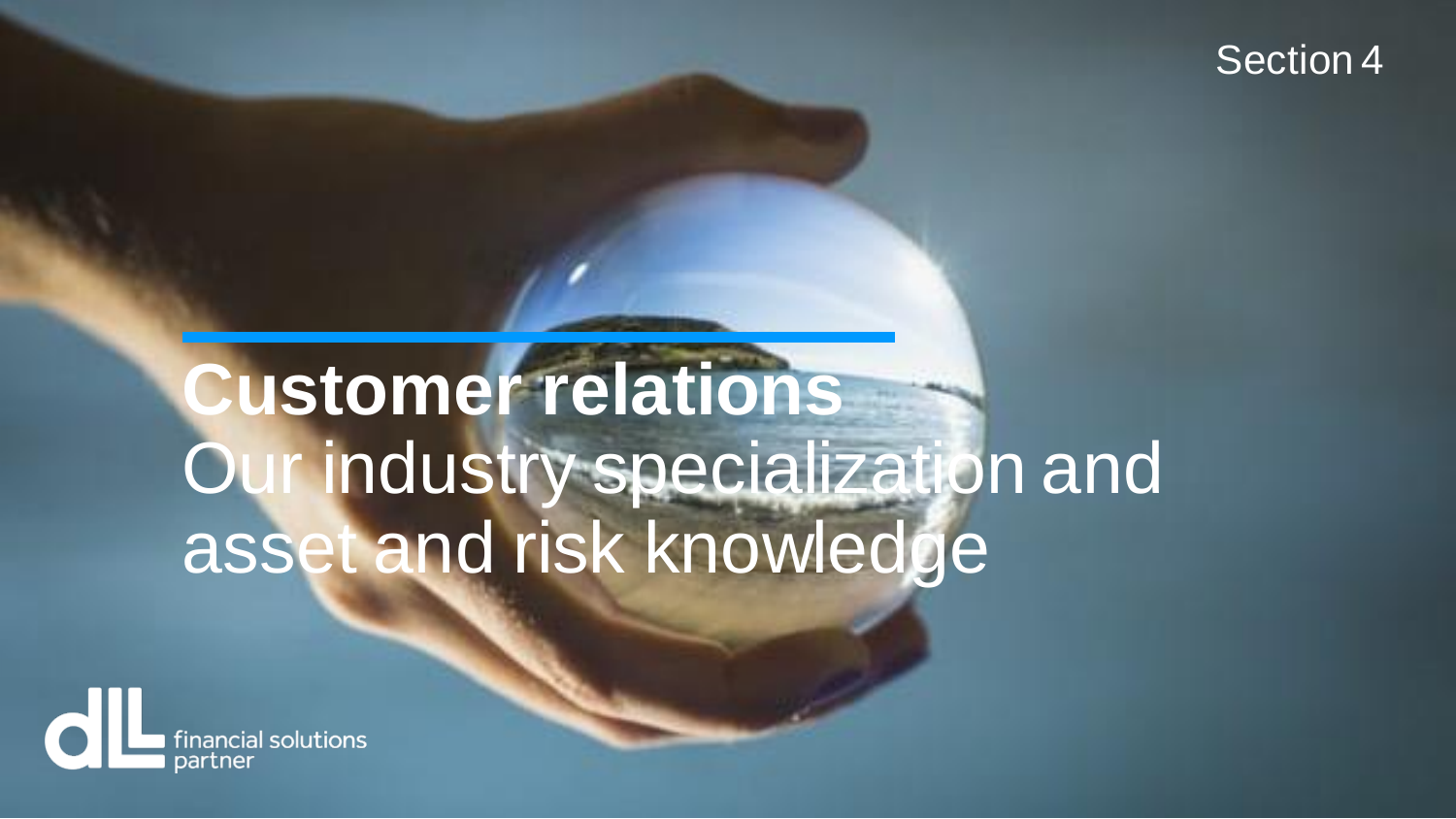### Section 4

# **Customer relations** Our industry specialization and asset and risk knowledge

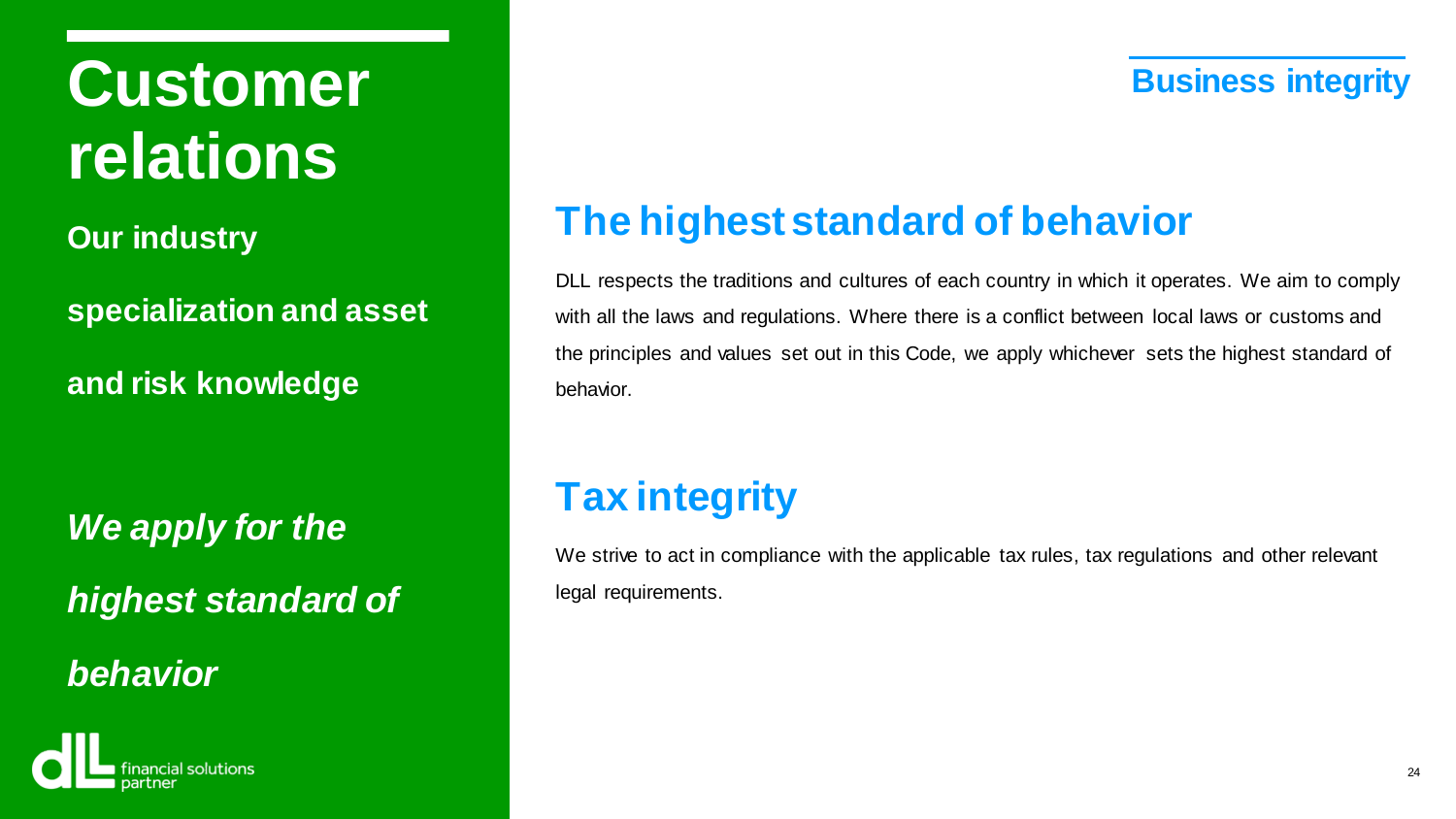## **Customer** *Business integrity* **relations**

**Our industry**

**specialization and asset** 

**and risk knowledge**

*We apply for the highest standard of* 

*behavior*



## **The highest standard of behavior**

DLL respects the traditions and cultures of each country in which it operates. We aim to comply with all the laws and regulations. Where there is a conflict between local laws or customs and the principles and values set out in this Code, we apply whichever sets the highest standard of behavior.

## **Tax integrity**

We strive to act in compliance with the applicable tax rules, tax regulations and other relevant legal requirements.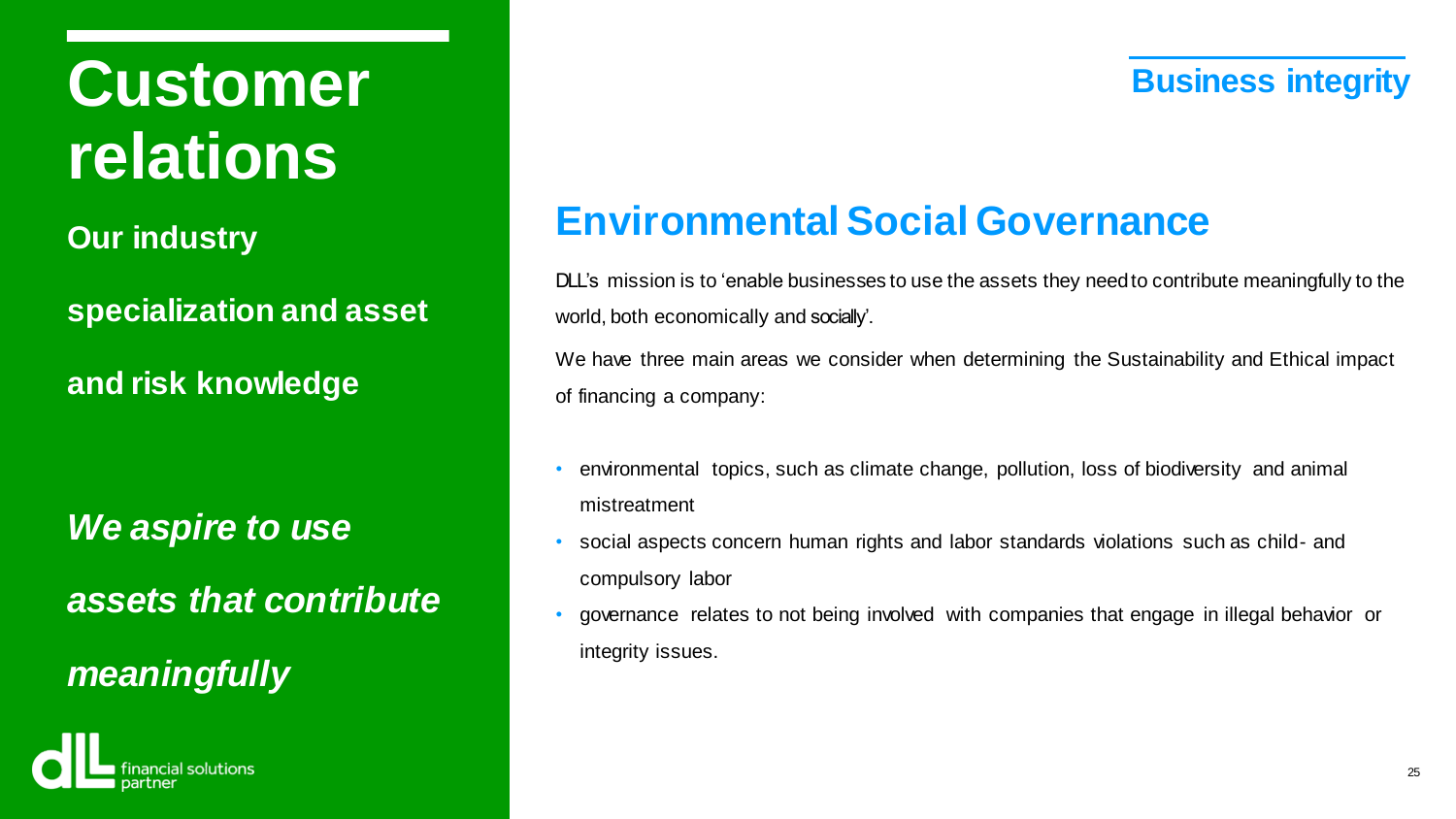## **Customer** *Business integrity* **relations**

**Our industry**

**specialization and asset** 

**and risk knowledge**

*We aspire to use assets that contribute meaningfully*



### **Environmental Social Governance**

DLL's mission is to 'enable businesses to use the assets they needto contribute meaningfully to the world, both economically and socially'.

We have three main areas we consider when determining the Sustainability and Ethical impact of financing a company:

- environmental topics, such as climate change, pollution, loss of biodiversity and animal mistreatment
- social aspects concern human rights and labor standards violations such as child- and compulsory labor
- governance relates to not being involved with companies that engage in illegal behavior or integrity issues.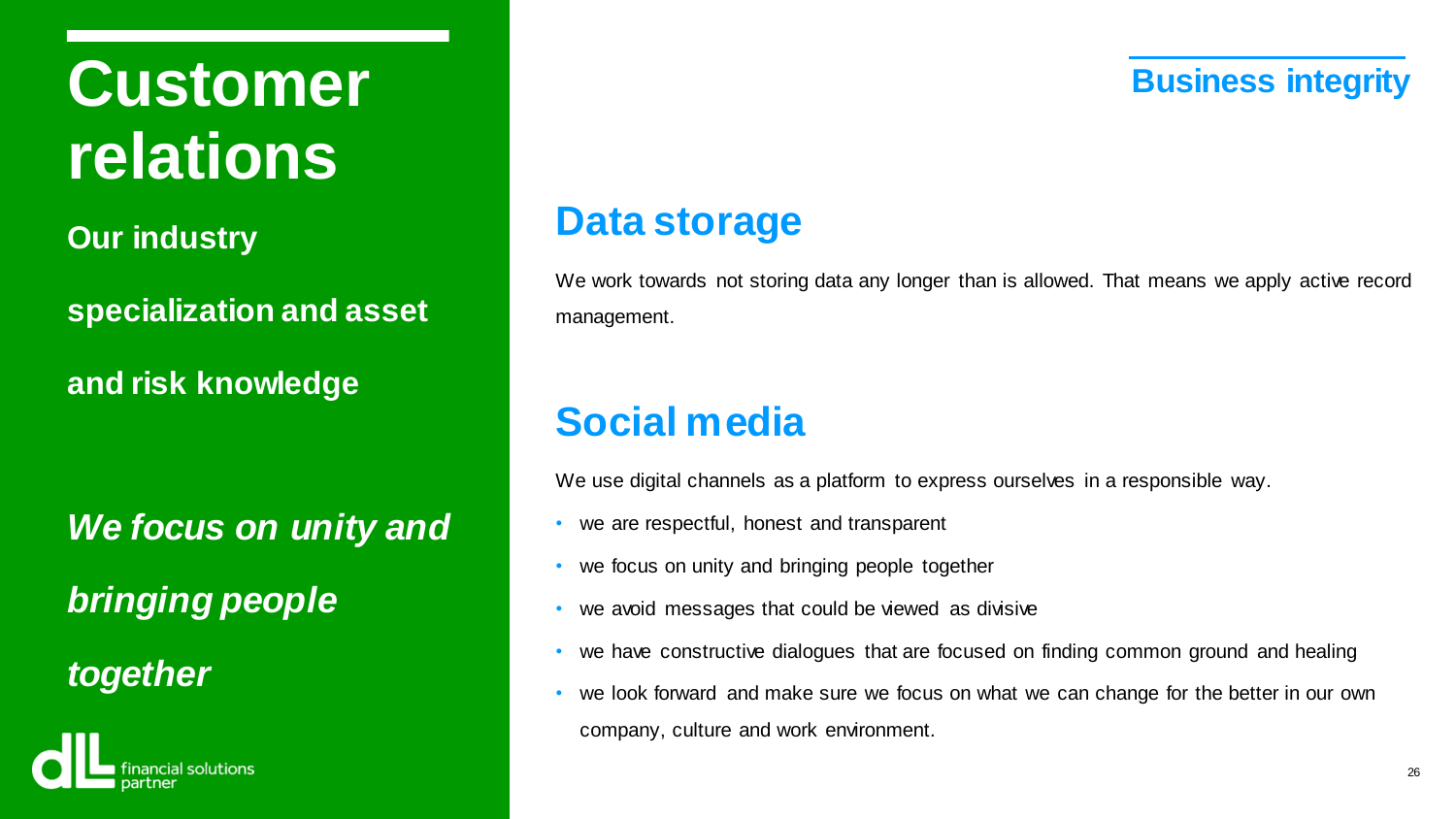## **Customer** *Business integrity* **relations**

**Our industry**

**specialization and asset** 

**and risk knowledge**

*We focus on unity and bringing people*

*together*



### **Data storage**

We work towards not storing data any longer than is allowed. That means we apply active record management.

### **Social media**

We use digital channels as a platform to express ourselves in a responsible way.

- we are respectful, honest and transparent
- we focus on unity and bringing people together
- we avoid messages that could be viewed as divisive
- we have constructive dialogues that are focused on finding common ground and healing
- we look forward and make sure we focus on what we can change for the better in our own company, culture and work environment.